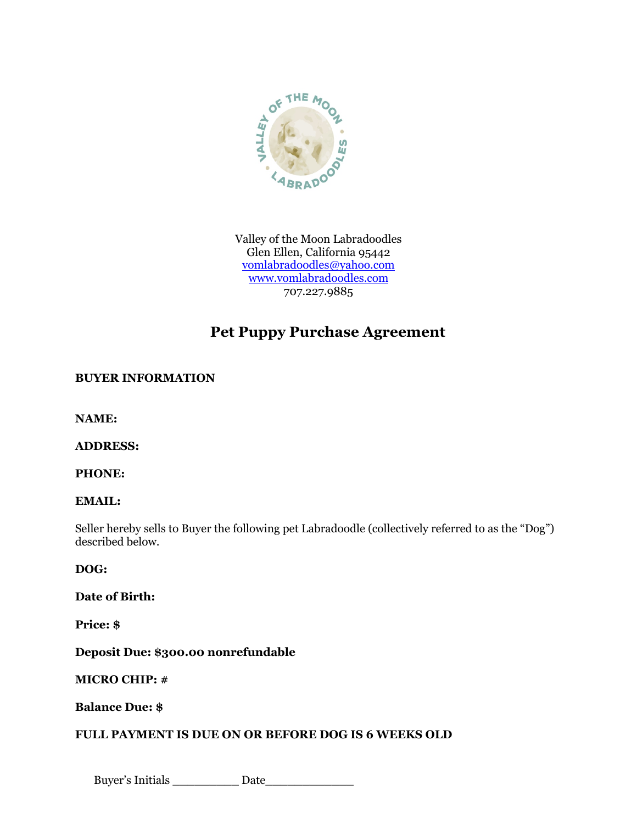

Valley of the Moon Labradoodles Glen Ellen, California 95442 vomlabradoodles@yahoo.com www.vomlabradoodles.com 707.227.9885

# **Pet Puppy Purchase Agreement**

## **BUYER INFORMATION**

**NAME:** 

## **ADDRESS:**

**PHONE:** 

#### **EMAIL:**

Seller hereby sells to Buyer the following pet Labradoodle (collectively referred to as the "Dog") described below.

#### **DOG:**

**Date of Birth:** 

**Price: \$** 

**Deposit Due: \$300.00 nonrefundable** 

#### **MICRO CHIP: #**

## **Balance Due: \$**

## **FULL PAYMENT IS DUE ON OR BEFORE DOG IS 6 WEEKS OLD**

Buyer's Initials \_\_\_\_\_\_\_\_\_ Date\_\_\_\_\_\_\_\_\_\_\_\_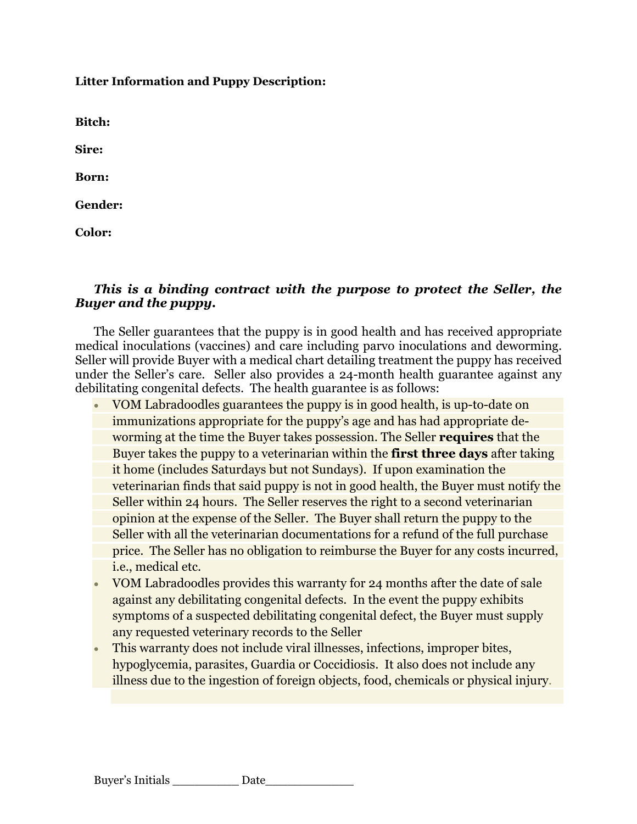**Litter Information and Puppy Description:**

**Bitch:** 

**Sire:** 

**Born:**

**Gender:**

**Color:**

# *This is a binding contract with the purpose to protect the Seller, the Buyer and the puppy.*

The Seller guarantees that the puppy is in good health and has received appropriate medical inoculations (vaccines) and care including parvo inoculations and deworming. Seller will provide Buyer with a medical chart detailing treatment the puppy has received under the Seller's care. Seller also provides a 24-month health guarantee against any debilitating congenital defects. The health guarantee is as follows:

- VOM Labradoodles guarantees the puppy is in good health, is up-to-date on immunizations appropriate for the puppy's age and has had appropriate deworming at the time the Buyer takes possession. The Seller **requires** that the Buyer takes the puppy to a veterinarian within the **first three days** after taking it home (includes Saturdays but not Sundays). If upon examination the veterinarian finds that said puppy is not in good health, the Buyer must notify the Seller within 24 hours. The Seller reserves the right to a second veterinarian opinion at the expense of the Seller. The Buyer shall return the puppy to the Seller with all the veterinarian documentations for a refund of the full purchase price. The Seller has no obligation to reimburse the Buyer for any costs incurred, i.e., medical etc.
- VOM Labradoodles provides this warranty for 24 months after the date of sale against any debilitating congenital defects. In the event the puppy exhibits symptoms of a suspected debilitating congenital defect, the Buyer must supply any requested veterinary records to the Seller
- This warranty does not include viral illnesses, infections, improper bites, hypoglycemia, parasites, Guardia or Coccidiosis. It also does not include any illness due to the ingestion of foreign objects, food, chemicals or physical injury.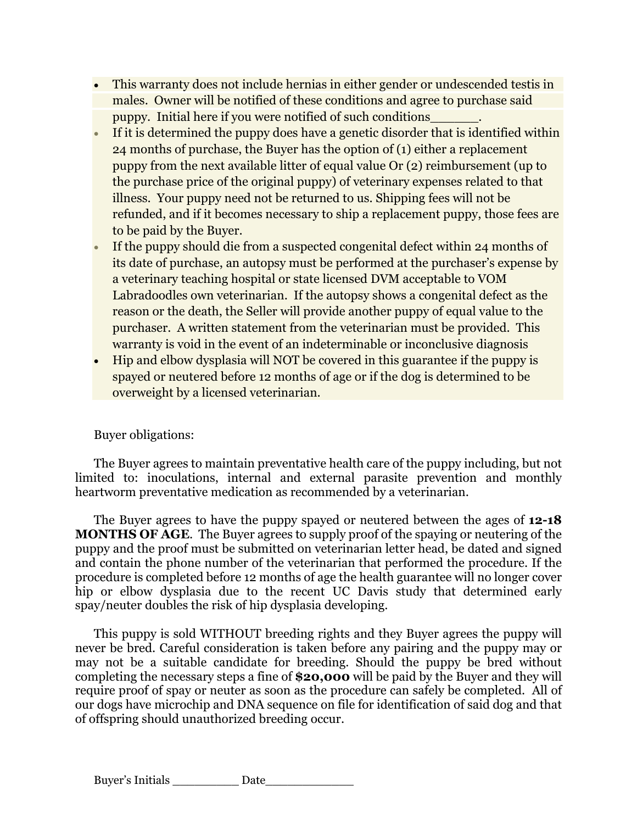- This warranty does not include hernias in either gender or undescended testis in males. Owner will be notified of these conditions and agree to purchase said puppy. Initial here if you were notified of such conditions\_\_\_\_\_\_.
- If it is determined the puppy does have a genetic disorder that is identified within 24 months of purchase, the Buyer has the option of (1) either a replacement puppy from the next available litter of equal value Or (2) reimbursement (up to the purchase price of the original puppy) of veterinary expenses related to that illness. Your puppy need not be returned to us. Shipping fees will not be refunded, and if it becomes necessary to ship a replacement puppy, those fees are to be paid by the Buyer.
- If the puppy should die from a suspected congenital defect within 24 months of its date of purchase, an autopsy must be performed at the purchaser's expense by a veterinary teaching hospital or state licensed DVM acceptable to VOM Labradoodles own veterinarian. If the autopsy shows a congenital defect as the reason or the death, the Seller will provide another puppy of equal value to the purchaser. A written statement from the veterinarian must be provided. This warranty is void in the event of an indeterminable or inconclusive diagnosis
- Hip and elbow dysplasia will NOT be covered in this guarantee if the puppy is spayed or neutered before 12 months of age or if the dog is determined to be overweight by a licensed veterinarian.

## Buyer obligations:

The Buyer agrees to maintain preventative health care of the puppy including, but not limited to: inoculations, internal and external parasite prevention and monthly heartworm preventative medication as recommended by a veterinarian.

The Buyer agrees to have the puppy spayed or neutered between the ages of **12-18 MONTHS OF AGE**. The Buyer agrees to supply proof of the spaying or neutering of the puppy and the proof must be submitted on veterinarian letter head, be dated and signed and contain the phone number of the veterinarian that performed the procedure. If the procedure is completed before 12 months of age the health guarantee will no longer cover hip or elbow dysplasia due to the recent UC Davis study that determined early spay/neuter doubles the risk of hip dysplasia developing.

This puppy is sold WITHOUT breeding rights and they Buyer agrees the puppy will never be bred. Careful consideration is taken before any pairing and the puppy may or may not be a suitable candidate for breeding. Should the puppy be bred without completing the necessary steps a fine of **\$20,000** will be paid by the Buyer and they will require proof of spay or neuter as soon as the procedure can safely be completed. All of our dogs have microchip and DNA sequence on file for identification of said dog and that of offspring should unauthorized breeding occur.

| Buyer's Initials<br>Date |  |
|--------------------------|--|
|--------------------------|--|